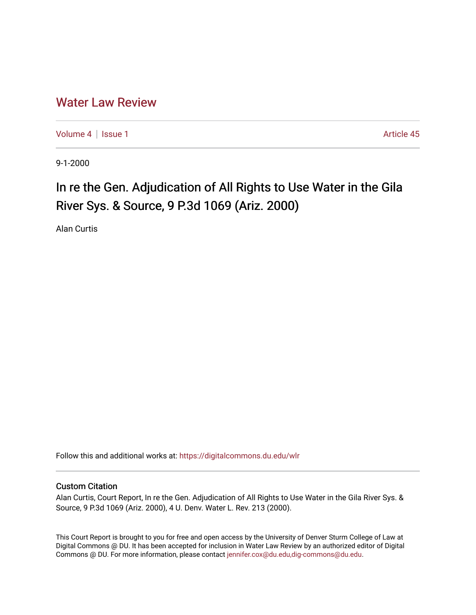# [Water Law Review](https://digitalcommons.du.edu/wlr)

[Volume 4](https://digitalcommons.du.edu/wlr/vol4) | [Issue 1](https://digitalcommons.du.edu/wlr/vol4/iss1) Article 45

9-1-2000

# In re the Gen. Adjudication of All Rights to Use Water in the Gila River Sys. & Source, 9 P.3d 1069 (Ariz. 2000)

Alan Curtis

Follow this and additional works at: [https://digitalcommons.du.edu/wlr](https://digitalcommons.du.edu/wlr?utm_source=digitalcommons.du.edu%2Fwlr%2Fvol4%2Fiss1%2F45&utm_medium=PDF&utm_campaign=PDFCoverPages) 

## Custom Citation

Alan Curtis, Court Report, In re the Gen. Adjudication of All Rights to Use Water in the Gila River Sys. & Source, 9 P.3d 1069 (Ariz. 2000), 4 U. Denv. Water L. Rev. 213 (2000).

This Court Report is brought to you for free and open access by the University of Denver Sturm College of Law at Digital Commons @ DU. It has been accepted for inclusion in Water Law Review by an authorized editor of Digital Commons @ DU. For more information, please contact [jennifer.cox@du.edu,dig-commons@du.edu.](mailto:jennifer.cox@du.edu,dig-commons@du.edu)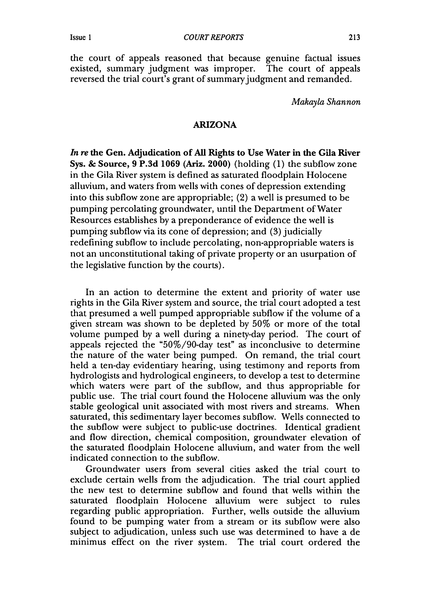the court of appeals reasoned that because genuine factual issues existed, summary judgment was improper. The court of appeals reversed the trial court's grant of summary judgment and remanded.

*Makayla Shannon*

#### ARIZONA

*In re* the Gen. Adjudication of All Rights to Use Water in the Gila River Sys. **&** Source, 9 P.3d 1069 (Ariz. 2000) (holding (1) the subflow zone in the Gila River system is defined as saturated floodplain Holocene alluvium, and waters from wells with cones of depression extending into this subflow zone are appropriable; (2) a well is presumed to be pumping percolating groundwater, until the Department of Water Resources establishes by a preponderance of evidence the well is pumping subflow via its cone of depression; and (3) judicially redefining subflow to include percolating, non-appropriable waters is not an unconstitutional taking of private property or an usurpation of the legislative function by the courts).

In an action to determine the extent and priority of water use rights in the Gila River system and source, the trial court adopted a test that presumed a well pumped appropriable subflow if the volume of a given stream was shown to be depleted by 50% or more of the total volume pumped by a well during a ninety-day period. The court of appeals rejected the "50%/90-day test" as inconclusive to determine the nature of the water being pumped. On remand, the trial court held a ten-day evidentiary hearing, using testimony and reports from hydrologists and hydrological engineers, to develop a test to determine which waters were part of the subflow, and thus appropriable for public use. The trial court found the Holocene alluvium was the only stable geological unit associated with most rivers and streams. When saturated, this sedimentary layer becomes subflow. Wells connected to the subflow were subject to public-use doctrines. Identical gradient and flow direction, chemical composition, groundwater elevation of the saturated floodplain Holocene alluvium, and water from the well indicated connection to the subflow.

Groundwater users from several cities asked the trial court to exclude certain wells from the adjudication. The trial court applied the new test to determine subflow and found that wells within the saturated floodplain Holocene alluvium were subject to rules regarding public appropriation. Further, wells outside the alluvium found to be pumping water from a stream or its subflow were also subject to adjudication, unless such use was determined to have a de minimus effect on the river system. The trial court ordered the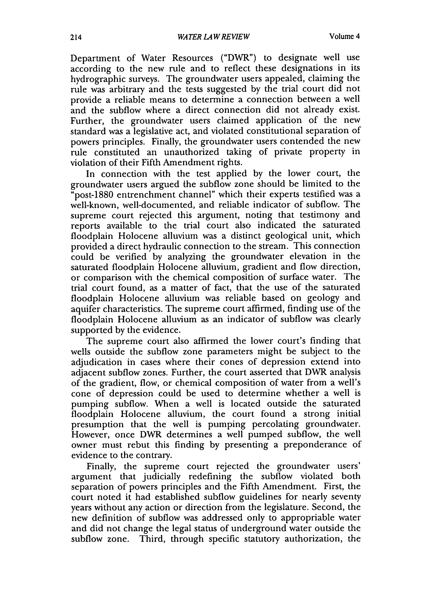Department of Water Resources ("DWR") to designate well use according to the new rule and to reflect these designations in its hydrographic surveys. The groundwater users appealed, claiming the rule was arbitrary and the tests suggested by the trial court did not provide a reliable means to determine a connection between a well and the subflow where a direct connection did not already exist. Further, the groundwater users claimed application of the new standard was a legislative act, and violated constitutional separation of powers principles. Finally, the groundwater users contended the new rule constituted an unauthorized taking of private property in violation of their Fifth Amendment rights.

In connection with the test applied by the lower court, the groundwater users argued the subflow zone should be limited to the "post-1880 entrenchment channel" which their experts testified was a well-known, well-documented, and reliable indicator of subflow. The supreme court rejected this argument, noting that testimony and reports available to the trial court also indicated the saturated floodplain Holocene alluvium was a distinct geological unit, which provided a direct hydraulic connection to the stream. This connection could be verified by analyzing the groundwater elevation in the saturated floodplain Holocene alluvium, gradient and flow direction, or comparison with the chemical composition of surface water. The trial court found, as a matter of fact, that the use of the saturated floodplain Holocene alluvium was reliable based on geology and aquifer characteristics. The supreme court affirmed, finding use of the floodplain Holocene alluvium as an indicator of subflow was clearly supported by the evidence.

The supreme court also affirmed the lower court's finding that wells outside the subflow zone parameters might be subject to the adjudication in cases where their cones of depression extend into adjacent subflow zones. Further, the court asserted that DWR analysis of the gradient, flow, or chemical composition of water from a well's cone of depression could be used to determine whether a well is pumping subflow. When a well is located outside the saturated floodplain Holocene alluvium, the court found a strong initial presumption that the well is pumping percolating groundwater. However, once DWR determines a well pumped subflow, the well owner must rebut this finding by presenting a preponderance of evidence to the contrary.

Finally, the supreme court rejected the groundwater users' argument that judicially redefining the subflow violated both separation of powers principles and the Fifth Amendment. First, the court noted it had established subflow guidelines for nearly seventy years without any action or direction from the legislature. Second, the new definition of subflow was addressed only to appropriable water and did not change the legal status of underground water outside the subflow zone. Third, through specific statutory authorization, the